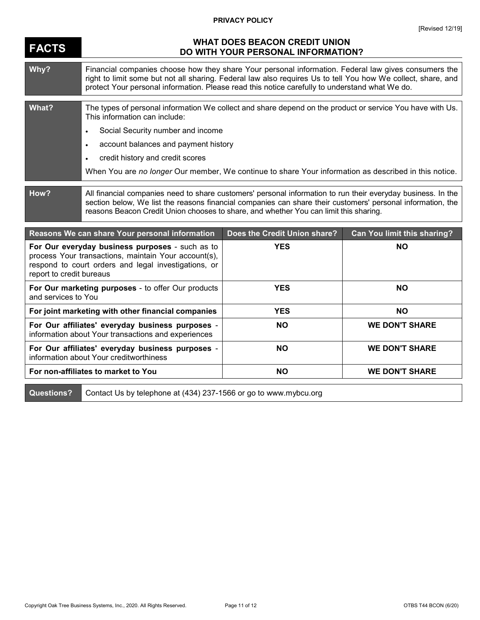## **PRIVACY POLICY**

## **FACTS WHAT DOES BEACON CREDIT UNION DO WITH YOUR PERSONAL INFORMATION? Why?** Financial companies choose how they share Your personal information. Federal law gives consumers the right to limit some but not all sharing. Federal law also requires Us to tell You how We collect, share, and protect Your personal information. Please read this notice carefully to understand what We do. **What?** The types of personal information We collect and share depend on the product or service You have with Us. This information can include: Social Security number and income account balances and payment history credit history and credit scores When You are *no longer* Our member, We continue to share Your information as described in this notice. **How?** All financial companies need to share customers' personal information to run their everyday business. In the section below, We list the reasons financial companies can share their customers' personal information, the reasons Beacon Credit Union chooses to share, and whether You can limit this sharing. **Reasons We can share Your personal information Does the Credit Union share? Can You limit this sharing? For Our everyday business purposes** - such as to process Your transactions, maintain Your account(s), respond to court orders and legal investigations, or report to credit bureaus **YES NO For Our marketing purposes** - to offer Our products **YES NO**

| For Our marketing purposes - to offer Our products<br>and services to You                               | <b>YES</b> | ΝO                    |
|---------------------------------------------------------------------------------------------------------|------------|-----------------------|
| For joint marketing with other financial companies                                                      | <b>YES</b> | NΟ                    |
| For Our affiliates' everyday business purposes -<br>information about Your transactions and experiences | <b>NO</b>  | <b>WE DON'T SHARE</b> |
| For Our affiliates' everyday business purposes -<br>information about Your creditworthiness             | <b>NO</b>  | <b>WE DON'T SHARE</b> |
| For non-affiliates to market to You                                                                     | <b>NO</b>  | <b>WE DON'T SHARE</b> |

**Questions?** Contact Us by telephone at (434) 237-1566 or go to www.mybcu.org